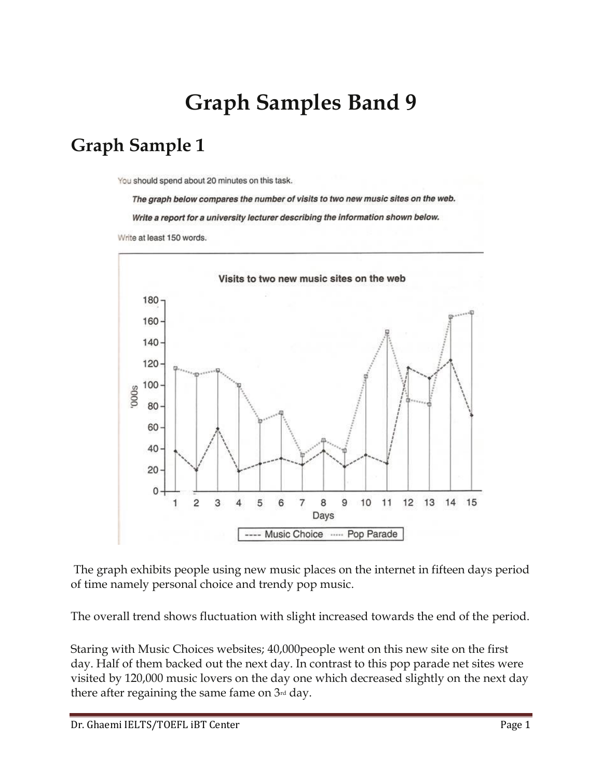# **Graph Samples Band 9**

#### **Graph Sample 1**

You should spend about 20 minutes on this task.

The graph below compares the number of visits to two new music sites on the web. Write a report for a university lecturer describing the information shown below. Write at least 150 words.



The graph exhibits people using new music places on the internet in fifteen days period of time namely personal choice and trendy pop music.

The overall trend shows fluctuation with slight increased towards the end of the period.

Staring with Music Choices websites; 40,000people went on this new site on the first day. Half of them backed out the next day. In contrast to this pop parade net sites were visited by 120,000 music lovers on the day one which decreased slightly on the next day there after regaining the same fame on  $3<sup>rd</sup>$  day.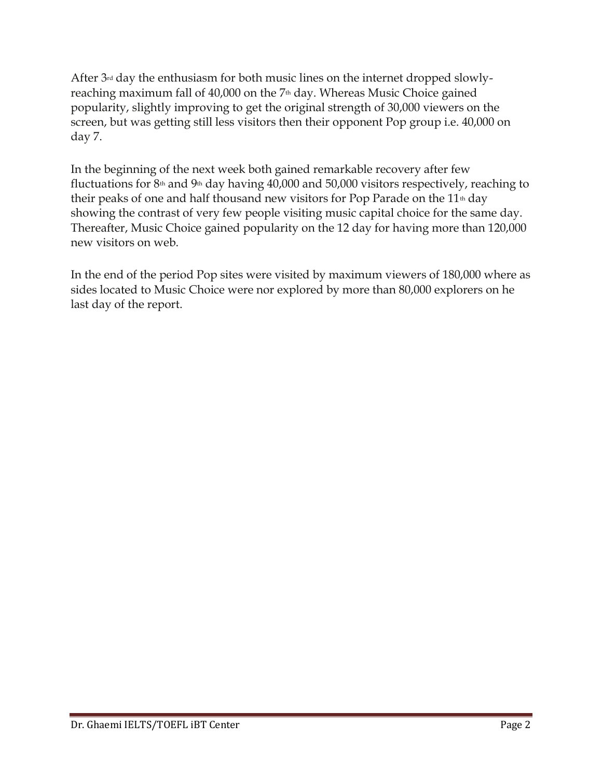After 3<sup>rd</sup> day the enthusiasm for both music lines on the internet dropped slowlyreaching maximum fall of 40,000 on the 7<sup>th</sup> day. Whereas Music Choice gained popularity, slightly improving to get the original strength of 30,000 viewers on the screen, but was getting still less visitors then their opponent Pop group i.e. 40,000 on day 7.

In the beginning of the next week both gained remarkable recovery after few fluctuations for  $8<sup>th</sup>$  and  $9<sup>th</sup>$  day having 40,000 and 50,000 visitors respectively, reaching to their peaks of one and half thousand new visitors for Pop Parade on the  $11<sup>th</sup>$  day showing the contrast of very few people visiting music capital choice for the same day. Thereafter, Music Choice gained popularity on the 12 day for having more than 120,000 new visitors on web.

In the end of the period Pop sites were visited by maximum viewers of 180,000 where as sides located to Music Choice were nor explored by more than 80,000 explorers on he last day of the report.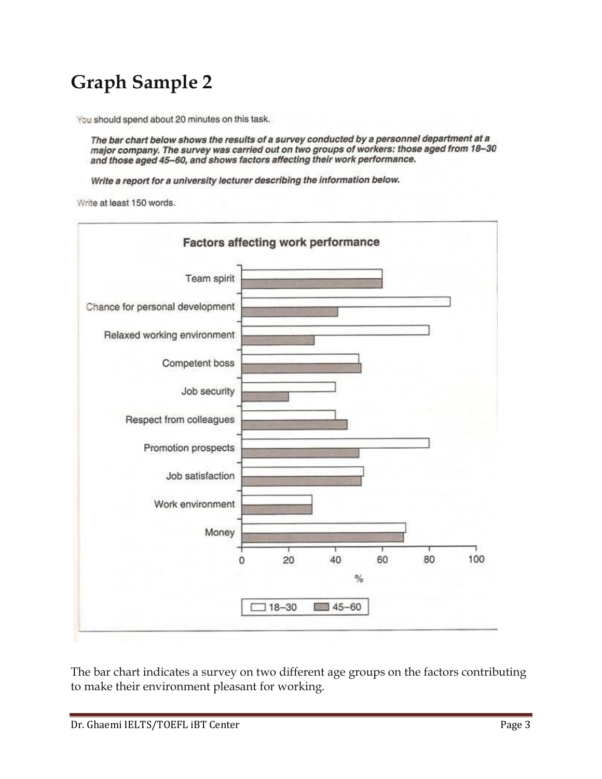## **Graph Sample 2**

You should spend about 20 minutes on this task.

The bar chart below shows the results of a survey conducted by a personnel department at a major company. The survey was carried out on two groups of workers: those aged from 18-30 and those aged 45-60, and shows factors affecting their work performance.

Write a report for a university lecturer describing the information below.

Write at least 150 words.



The bar chart indicates a survey on two different age groups on the factors contributing to make their environment pleasant for working.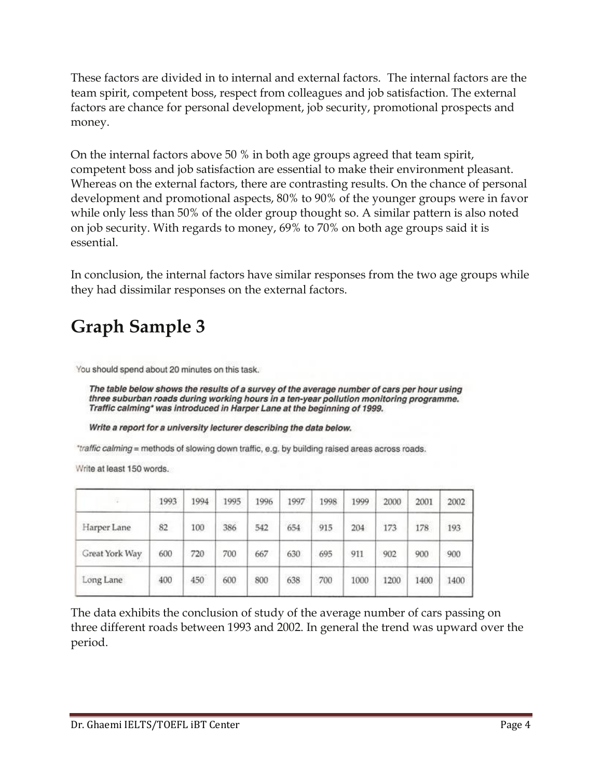These factors are divided in to internal and external factors. The internal factors are the team spirit, competent boss, respect from colleagues and job satisfaction. The external factors are chance for personal development, job security, promotional prospects and money.

On the internal factors above 50 % in both age groups agreed that team spirit, competent boss and job satisfaction are essential to make their environment pleasant. Whereas on the external factors, there are contrasting results. On the chance of personal development and promotional aspects, 80% to 90% of the younger groups were in favor while only less than 50% of the older group thought so. A similar pattern is also noted on job security. With regards to money, 69% to 70% on both age groups said it is essential.

In conclusion, the internal factors have similar responses from the two age groups while they had dissimilar responses on the external factors.

## **Graph Sample 3**

You should spend about 20 minutes on this task.

The table below shows the results of a survey of the average number of cars per hour using three suburban roads during working hours in a ten-year pollution monitoring programme. Traffic calming\* was introduced in Harper Lane at the beginning of 1999.

Write a report for a university lecturer describing the data below.

"traffic calming = methods of slowing down traffic, e.g. by building raised areas across roads.

Write at least 150 words.

| 法              | 1993       | 1994                    | 1995      | 1996 | 1997 | 1998 | 1999                   | 2000              | 2001                 | 2002 |
|----------------|------------|-------------------------|-----------|------|------|------|------------------------|-------------------|----------------------|------|
| Harper Lane    | owau<br>82 | 100                     | --<br>386 | 542  | 654  | 915  | 204                    | 173               | <b>CASSAS</b><br>178 | 193  |
| Great York Way | 600        | 720                     | 700       | 667  | 630  | 695  | 911                    | 902               | 900                  | 900  |
| Long Lane      | 400        | <b>SCONDIANO</b><br>450 | 600       | 800  | 638  | 700  | <b>UNUMBER</b><br>1000 | UCYDS0429<br>1200 | 1400                 | 1400 |

The data exhibits the conclusion of study of the average number of cars passing on three different roads between 1993 and 2002. In general the trend was upward over the period.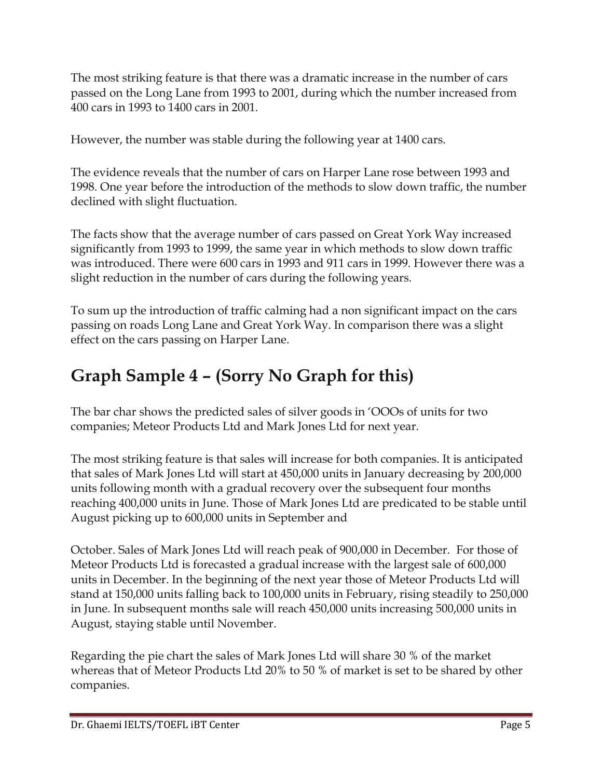The most striking feature is that there was a dramatic increase in the number of cars passed on the Long Lane from 1993 to 2001, during which the number increased from 400 cars in 1993 to 1400 cars in 2001.

However, the number was stable during the following year at 1400 cars.

The evidence reveals that the number of cars on Harper Lane rose between 1993 and 1998. One year before the introduction of the methods to slow down traffic, the number declined with slight fluctuation.

The facts show that the average number of cars passed on Great York Way increased significantly from 1993 to 1999, the same year in which methods to slow down traffic was introduced. There were 600 cars in 1993 and 911 cars in 1999. However there was a slight reduction in the number of cars during the following years.

To sum up the introduction of traffic calming had a non significant impact on the cars passing on roads Long Lane and Great York Way. In comparison there was a slight effect on the cars passing on Harper Lane.

## **Graph Sample 4 – (Sorry No Graph for this)**

The bar char shows the predicted sales of silver goods in 'OOOs of units for two companies; Meteor Products Ltd and Mark Jones Ltd for next year.

The most striking feature is that sales will increase for both companies. It is anticipated that sales of Mark Jones Ltd will start at 450,000 units in January decreasing by 200,000 units following month with a gradual recovery over the subsequent four months reaching 400,000 units in June. Those of Mark Jones Ltd are predicated to be stable until August picking up to 600,000 units in September and

October. Sales of Mark Jones Ltd will reach peak of 900,000 in December. For those of Meteor Products Ltd is forecasted a gradual increase with the largest sale of 600,000 units in December. In the beginning of the next year those of Meteor Products Ltd will stand at 150,000 units falling back to 100,000 units in February, rising steadily to 250,000 in June. In subsequent months sale will reach 450,000 units increasing 500,000 units in August, staying stable until November.

Regarding the pie chart the sales of Mark Jones Ltd will share 30 % of the market whereas that of Meteor Products Ltd 20% to 50 % of market is set to be shared by other companies.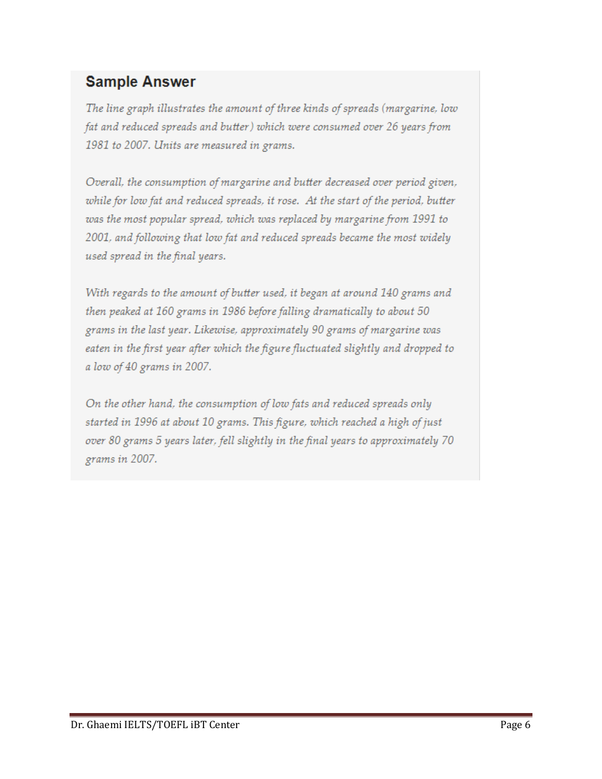#### **Sample Answer**

The line graph illustrates the amount of three kinds of spreads (margarine, low fat and reduced spreads and butter) which were consumed over 26 years from 1981 to 2007. Units are measured in grams.

Overall, the consumption of margarine and butter decreased over period given, while for low fat and reduced spreads, it rose. At the start of the period, butter was the most popular spread, which was replaced by margarine from 1991 to 2001, and following that low fat and reduced spreads became the most widely used spread in the final years.

With regards to the amount of butter used, it began at around 140 grams and then peaked at 160 grams in 1986 before falling dramatically to about 50 grams in the last year. Likewise, approximately 90 grams of margarine was eaten in the first year after which the figure fluctuated slightly and dropped to a low of 40 grams in 2007.

On the other hand, the consumption of low fats and reduced spreads only started in 1996 at about 10 grams. This figure, which reached a high of just over 80 grams 5 years later, fell slightly in the final years to approximately 70 grams in 2007.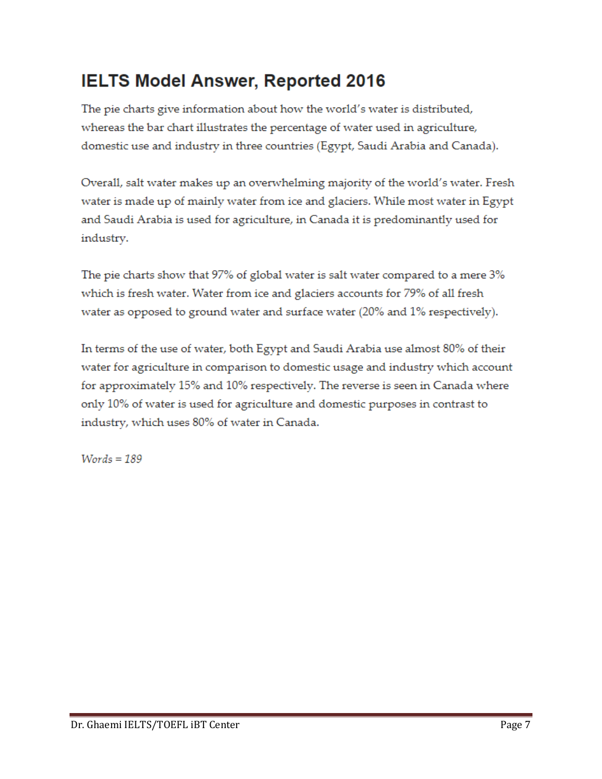#### **IELTS Model Answer, Reported 2016**

The pie charts give information about how the world's water is distributed, whereas the bar chart illustrates the percentage of water used in agriculture, domestic use and industry in three countries (Egypt, Saudi Arabia and Canada).

Overall, salt water makes up an overwhelming majority of the world's water. Fresh water is made up of mainly water from ice and glaciers. While most water in Egypt and Saudi Arabia is used for agriculture, in Canada it is predominantly used for industry.

The pie charts show that 97% of global water is salt water compared to a mere 3% which is fresh water. Water from ice and glaciers accounts for 79% of all fresh water as opposed to ground water and surface water (20% and 1% respectively).

In terms of the use of water, both Egypt and Saudi Arabia use almost 80% of their water for agriculture in comparison to domestic usage and industry which account for approximately 15% and 10% respectively. The reverse is seen in Canada where only 10% of water is used for agriculture and domestic purposes in contrast to industry, which uses 80% of water in Canada.

 $Words = 189$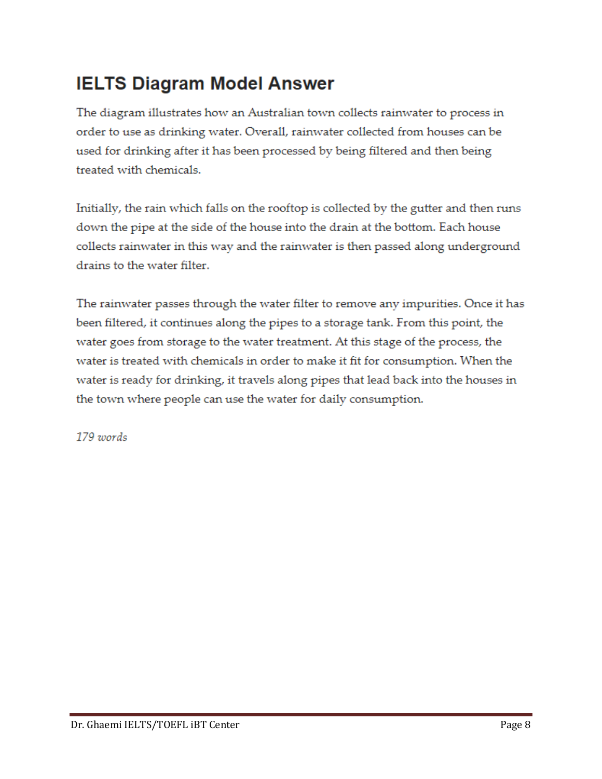### **IELTS Diagram Model Answer**

The diagram illustrates how an Australian town collects rainwater to process in order to use as drinking water. Overall, rainwater collected from houses can be used for drinking after it has been processed by being filtered and then being treated with chemicals.

Initially, the rain which falls on the rooftop is collected by the gutter and then runs down the pipe at the side of the house into the drain at the bottom. Each house collects rainwater in this way and the rainwater is then passed along underground drains to the water filter.

The rainwater passes through the water filter to remove any impurities. Once it has been filtered, it continues along the pipes to a storage tank. From this point, the water goes from storage to the water treatment. At this stage of the process, the water is treated with chemicals in order to make it fit for consumption. When the water is ready for drinking, it travels along pipes that lead back into the houses in the town where people can use the water for daily consumption.

179 words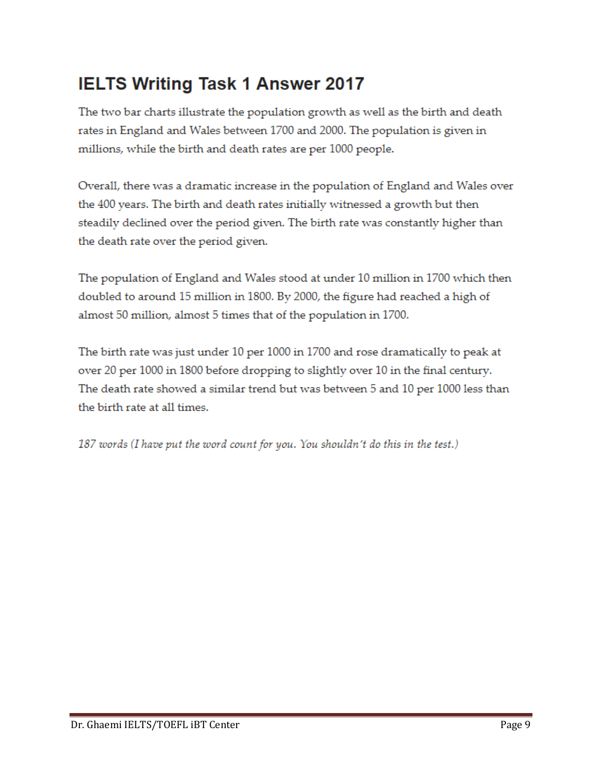### **IELTS Writing Task 1 Answer 2017**

The two bar charts illustrate the population growth as well as the birth and death rates in England and Wales between 1700 and 2000. The population is given in millions, while the birth and death rates are per 1000 people.

Overall, there was a dramatic increase in the population of England and Wales over the 400 years. The birth and death rates initially witnessed a growth but then steadily declined over the period given. The birth rate was constantly higher than the death rate over the period given.

The population of England and Wales stood at under 10 million in 1700 which then doubled to around 15 million in 1800. By 2000, the figure had reached a high of almost 50 million, almost 5 times that of the population in 1700.

The birth rate was just under 10 per 1000 in 1700 and rose dramatically to peak at over 20 per 1000 in 1800 before dropping to slightly over 10 in the final century. The death rate showed a similar trend but was between 5 and 10 per 1000 less than the birth rate at all times.

187 words (I have put the word count for you. You shouldn't do this in the test.)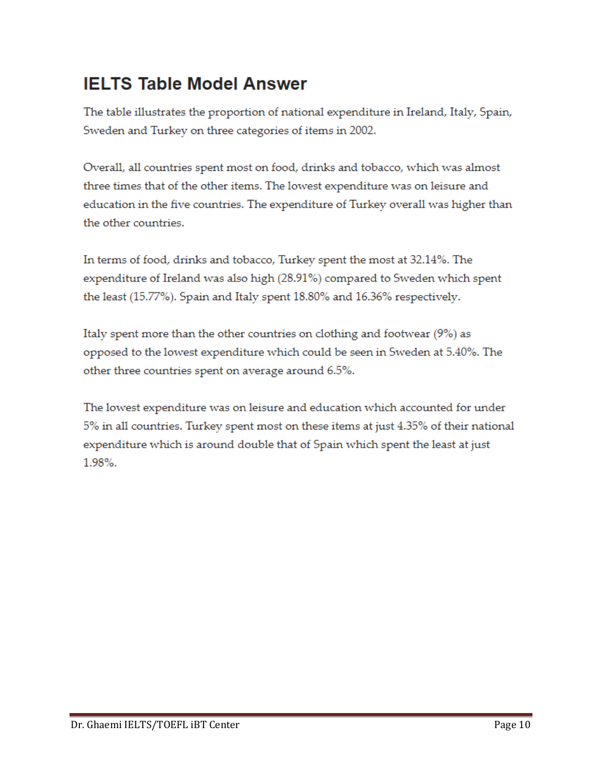#### **IELTS Table Model Answer**

The table illustrates the proportion of national expenditure in Ireland, Italy, Spain, Sweden and Turkey on three categories of items in 2002.

Overall, all countries spent most on food, drinks and tobacco, which was almost three times that of the other items. The lowest expenditure was on leisure and education in the five countries. The expenditure of Turkey overall was higher than the other countries.

In terms of food, drinks and tobacco, Turkey spent the most at 32.14%. The expenditure of Ireland was also high (28.91%) compared to Sweden which spent the least (15.77%). Spain and Italy spent 18.80% and 16.36% respectively.

Italy spent more than the other countries on clothing and footwear (9%) as opposed to the lowest expenditure which could be seen in Sweden at 5.40%. The other three countries spent on average around 6.5%.

The lowest expenditure was on leisure and education which accounted for under 5% in all countries. Turkey spent most on these items at just 4.35% of their national expenditure which is around double that of Spain which spent the least at just 1.98%.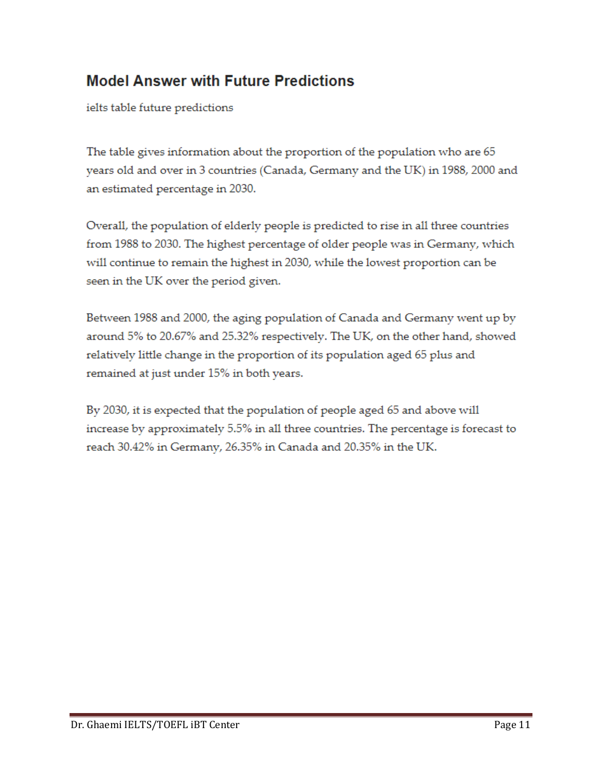#### **Model Answer with Future Predictions**

ielts table future predictions

The table gives information about the proportion of the population who are 65 years old and over in 3 countries (Canada, Germany and the UK) in 1988, 2000 and an estimated percentage in 2030.

Overall, the population of elderly people is predicted to rise in all three countries from 1988 to 2030. The highest percentage of older people was in Germany, which will continue to remain the highest in 2030, while the lowest proportion can be seen in the UK over the period given.

Between 1988 and 2000, the aging population of Canada and Germany went up by around 5% to 20.67% and 25.32% respectively. The UK, on the other hand, showed relatively little change in the proportion of its population aged 65 plus and remained at just under 15% in both years.

By 2030, it is expected that the population of people aged 65 and above will increase by approximately 5.5% in all three countries. The percentage is forecast to reach 30.42% in Germany, 26.35% in Canada and 20.35% in the UK.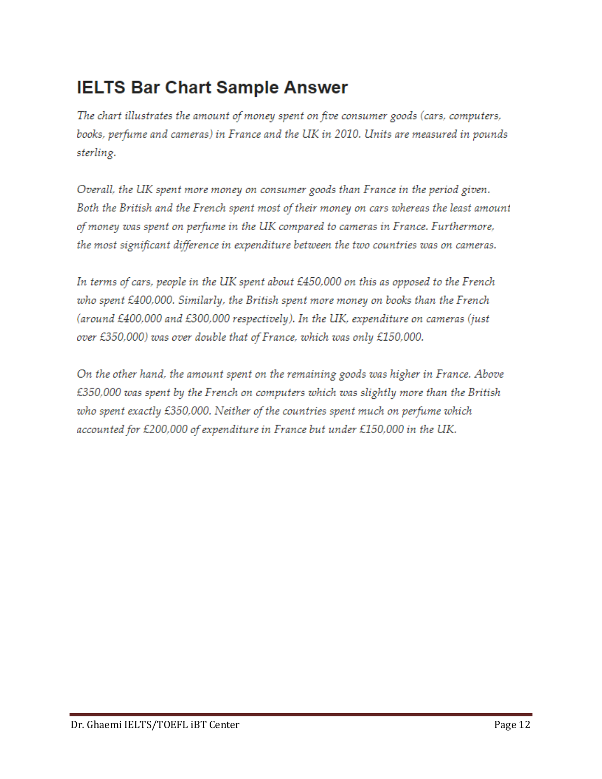#### **IELTS Bar Chart Sample Answer**

The chart illustrates the amount of money spent on five consumer goods (cars, computers, books, perfume and cameras) in France and the UK in 2010. Units are measured in pounds sterling.

Overall, the UK spent more money on consumer goods than France in the period given. Both the British and the French spent most of their money on cars whereas the least amount of money was spent on perfume in the UK compared to cameras in France. Furthermore, the most significant difference in expenditure between the two countries was on cameras.

In terms of cars, people in the UK spent about £450,000 on this as opposed to the French who spent £400,000. Similarly, the British spent more money on books than the French (around £400,000 and £300,000 respectively). In the UK, expenditure on cameras (just over £350,000) was over double that of France, which was only £150,000.

On the other hand, the amount spent on the remaining goods was higher in France. Above £350,000 was spent by the French on computers which was slightly more than the British who spent exactly £350,000. Neither of the countries spent much on perfume which accounted for £200,000 of expenditure in France but under £150,000 in the UK.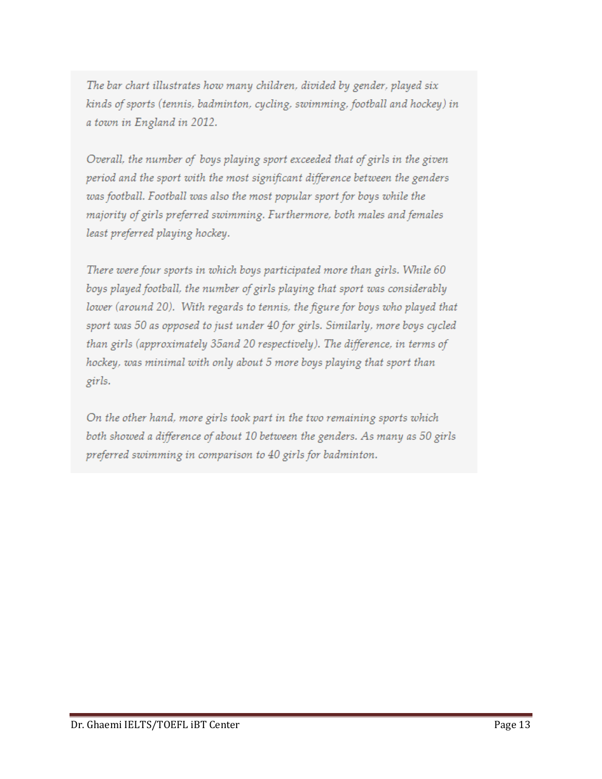The bar chart illustrates how many children, divided by gender, played six kinds of sports (tennis, badminton, cycling, swimming, football and hockey) in a town in England in 2012.

Overall, the number of boys playing sport exceeded that of girls in the given period and the sport with the most significant difference between the genders was football. Football was also the most popular sport for boys while the majority of girls preferred swimming. Furthermore, both males and females least preferred playing hockey.

There were four sports in which boys participated more than girls. While 60 boys played football, the number of girls playing that sport was considerably lower (around 20). With regards to tennis, the figure for boys who played that sport was 50 as opposed to just under 40 for girls. Similarly, more boys cycled than girls (approximately 35 and 20 respectively). The difference, in terms of hockey, was minimal with only about 5 more boys playing that sport than girls.

On the other hand, more girls took part in the two remaining sports which both showed a difference of about 10 between the genders. As many as 50 girls preferred swimming in comparison to 40 girls for badminton.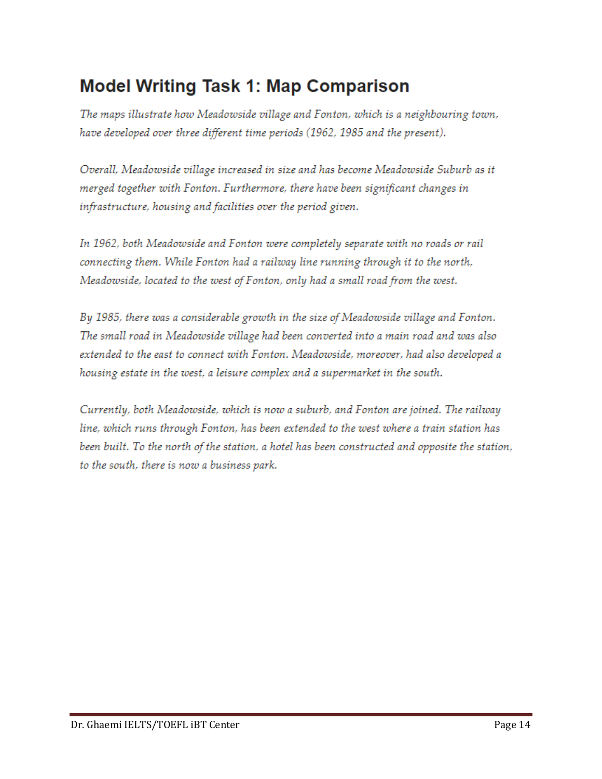#### **Model Writing Task 1: Map Comparison**

The maps illustrate how Meadowside village and Fonton, which is a neighbouring town, have developed over three different time periods (1962, 1985 and the present).

Overall, Meadowside village increased in size and has become Meadowside Suburb as it merged together with Fonton. Furthermore, there have been significant changes in infrastructure, housing and facilities over the period given.

In 1962, both Meadowside and Fonton were completely separate with no roads or rail connecting them. While Fonton had a railway line running through it to the north, Meadowside, located to the west of Fonton, only had a small road from the west.

By 1985, there was a considerable growth in the size of Meadowside village and Fonton. The small road in Meadowside village had been converted into a main road and was also extended to the east to connect with Fonton. Meadowside, moreover, had also developed a housing estate in the west, a leisure complex and a supermarket in the south.

Currently, both Meadowside, which is now a suburb, and Fonton are joined. The railway line, which runs through Fonton, has been extended to the west where a train station has been built. To the north of the station, a hotel has been constructed and opposite the station, to the south, there is now a business park.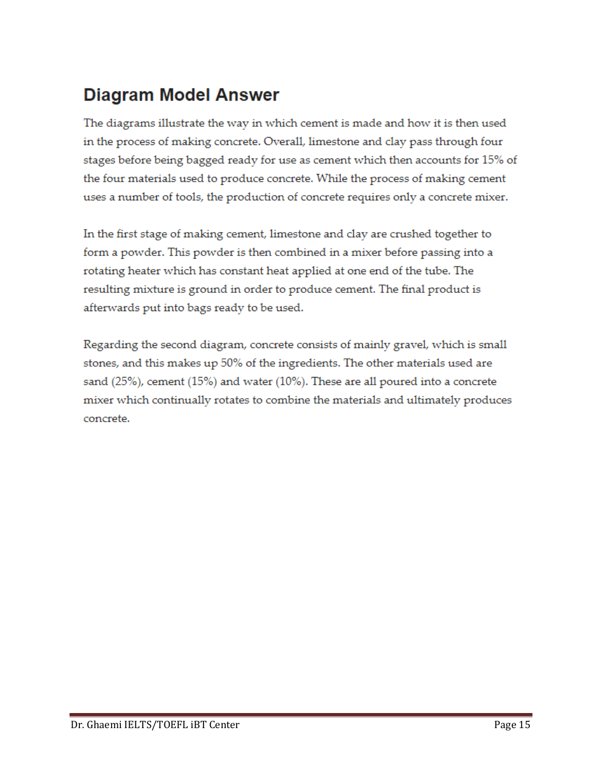### **Diagram Model Answer**

The diagrams illustrate the way in which cement is made and how it is then used in the process of making concrete. Overall, limestone and clay pass through four stages before being bagged ready for use as cement which then accounts for 15% of the four materials used to produce concrete. While the process of making cement uses a number of tools, the production of concrete requires only a concrete mixer.

In the first stage of making cement, limestone and clay are crushed together to form a powder. This powder is then combined in a mixer before passing into a rotating heater which has constant heat applied at one end of the tube. The resulting mixture is ground in order to produce cement. The final product is afterwards put into bags ready to be used.

Regarding the second diagram, concrete consists of mainly gravel, which is small stones, and this makes up 50% of the ingredients. The other materials used are sand (25%), cement (15%) and water (10%). These are all poured into a concrete mixer which continually rotates to combine the materials and ultimately produces concrete.